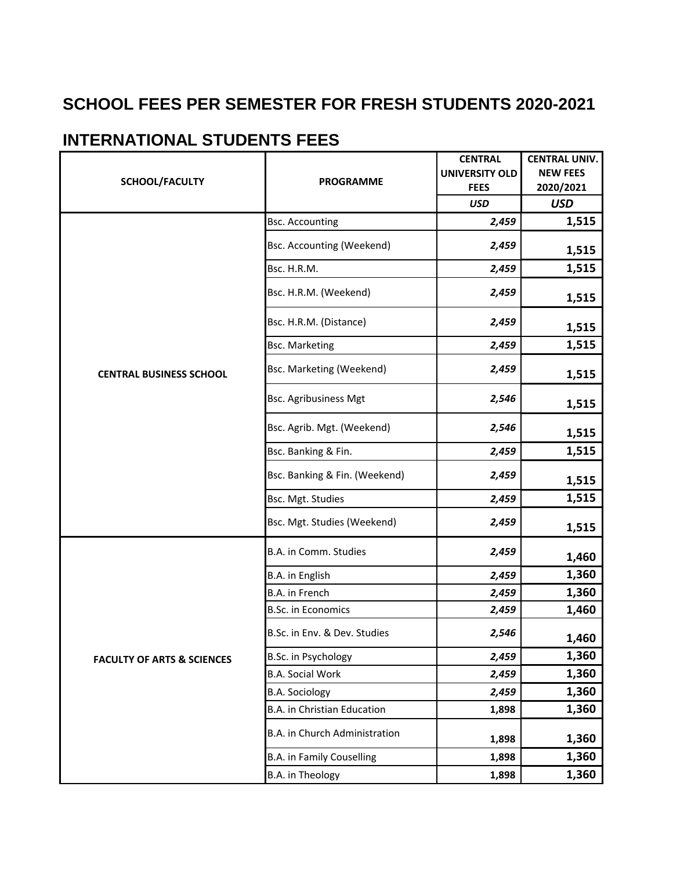## **SCHOOL FEES PER SEMESTER FOR FRESH STUDENTS 2020-2021**

## **INTERNATIONAL STUDENTS FEES**

| SCHOOL/FACULTY                        | <b>PROGRAMME</b>                   | <b>CENTRAL</b>        | <b>CENTRAL UNIV.</b> |
|---------------------------------------|------------------------------------|-----------------------|----------------------|
|                                       |                                    | <b>UNIVERSITY OLD</b> | <b>NEW FEES</b>      |
|                                       |                                    | <b>FEES</b>           | 2020/2021            |
|                                       |                                    | <b>USD</b>            | <b>USD</b>           |
|                                       | <b>Bsc. Accounting</b>             | 2,459                 | 1,515                |
|                                       | <b>Bsc. Accounting (Weekend)</b>   | 2,459                 | 1,515                |
|                                       | Bsc. H.R.M.                        | 2,459                 | 1,515                |
| <b>CENTRAL BUSINESS SCHOOL</b>        | Bsc. H.R.M. (Weekend)              | 2,459                 | 1,515                |
|                                       | Bsc. H.R.M. (Distance)             | 2,459                 | 1,515                |
|                                       | <b>Bsc. Marketing</b>              | 2,459                 | 1,515                |
|                                       | Bsc. Marketing (Weekend)           | 2,459                 | 1,515                |
|                                       | <b>Bsc. Agribusiness Mgt</b>       | 2,546                 | 1,515                |
|                                       | Bsc. Agrib. Mgt. (Weekend)         | 2,546                 | 1,515                |
|                                       | Bsc. Banking & Fin.                | 2,459                 | 1,515                |
|                                       | Bsc. Banking & Fin. (Weekend)      | 2,459                 | 1,515                |
|                                       | Bsc. Mgt. Studies                  | 2,459                 | 1,515                |
|                                       | Bsc. Mgt. Studies (Weekend)        | 2,459                 | 1,515                |
| <b>FACULTY OF ARTS &amp; SCIENCES</b> | B.A. in Comm. Studies              | 2,459                 | 1,460                |
|                                       | B.A. in English                    | 2,459                 | 1,360                |
|                                       | B.A. in French                     | 2,459                 | 1,360                |
|                                       | B.Sc. in Economics                 | 2,459                 | 1,460                |
|                                       | B.Sc. in Env. & Dev. Studies       | 2,546                 | 1,460                |
|                                       | B.Sc. in Psychology                | 2,459                 | 1,360                |
|                                       | <b>B.A. Social Work</b>            | 2,459                 | 1,360                |
|                                       | <b>B.A. Sociology</b>              | 2,459                 | 1,360                |
|                                       | <b>B.A.</b> in Christian Education | 1,898                 | 1,360                |
|                                       | B.A. in Church Administration      | 1,898                 | 1,360                |
|                                       | <b>B.A. in Family Couselling</b>   | 1,898                 | 1,360                |
|                                       | B.A. in Theology                   | 1,898                 | 1,360                |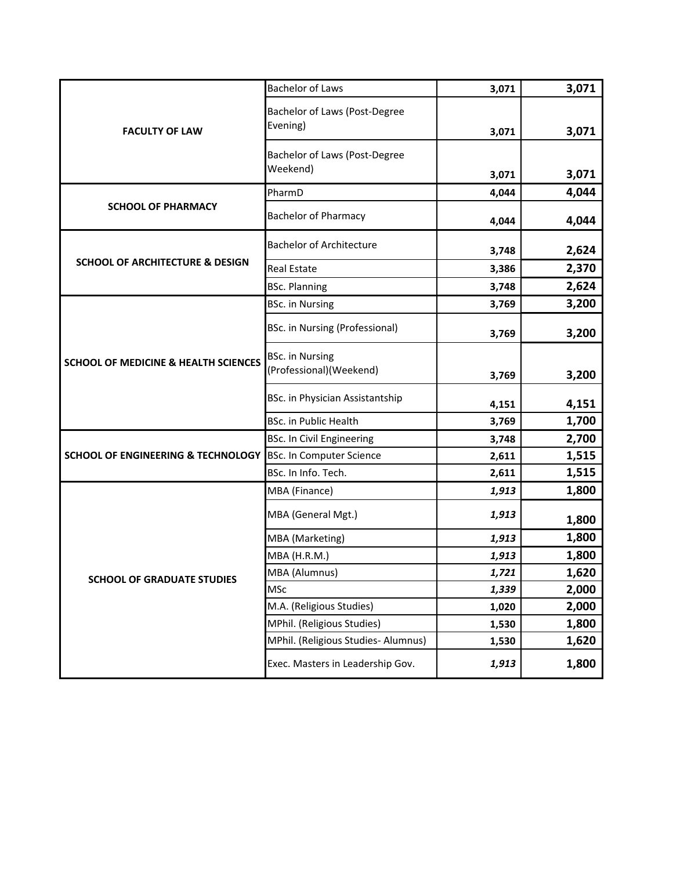| <b>FACULTY OF LAW</b>                           | <b>Bachelor of Laws</b>                           | 3,071 | 3,071 |
|-------------------------------------------------|---------------------------------------------------|-------|-------|
|                                                 | Bachelor of Laws (Post-Degree                     |       |       |
|                                                 | Evening)                                          | 3,071 | 3,071 |
|                                                 |                                                   |       |       |
|                                                 | Bachelor of Laws (Post-Degree                     |       |       |
|                                                 | Weekend)                                          | 3,071 | 3,071 |
| <b>SCHOOL OF PHARMACY</b>                       | PharmD                                            | 4,044 | 4,044 |
|                                                 | <b>Bachelor of Pharmacy</b>                       | 4,044 | 4,044 |
|                                                 | <b>Bachelor of Architecture</b>                   | 3,748 | 2,624 |
| <b>SCHOOL OF ARCHITECTURE &amp; DESIGN</b>      | <b>Real Estate</b>                                | 3,386 | 2,370 |
|                                                 | <b>BSc. Planning</b>                              | 3,748 | 2,624 |
|                                                 | <b>BSc.</b> in Nursing                            | 3,769 | 3,200 |
|                                                 | <b>BSc. in Nursing (Professional)</b>             | 3,769 | 3,200 |
| <b>SCHOOL OF MEDICINE &amp; HEALTH SCIENCES</b> | <b>BSc.</b> in Nursing<br>(Professional)(Weekend) | 3,769 | 3,200 |
|                                                 | BSc. in Physician Assistantship                   | 4,151 | 4,151 |
|                                                 | <b>BSc. in Public Health</b>                      | 3,769 | 1,700 |
|                                                 | <b>BSc. In Civil Engineering</b>                  | 3,748 | 2,700 |
| <b>SCHOOL OF ENGINEERING &amp; TECHNOLOGY</b>   | <b>BSc. In Computer Science</b>                   | 2,611 | 1,515 |
|                                                 | BSc. In Info. Tech.                               | 2,611 | 1,515 |
|                                                 | MBA (Finance)                                     | 1,913 | 1,800 |
|                                                 | MBA (General Mgt.)                                | 1,913 | 1,800 |
|                                                 | MBA (Marketing)                                   | 1,913 | 1,800 |
|                                                 | MBA (H.R.M.)                                      | 1,913 | 1,800 |
| <b>SCHOOL OF GRADUATE STUDIES</b>               | MBA (Alumnus)                                     | 1,721 | 1,620 |
|                                                 | <b>MSc</b>                                        | 1,339 | 2,000 |
|                                                 | M.A. (Religious Studies)                          | 1,020 | 2,000 |
|                                                 | MPhil. (Religious Studies)                        | 1,530 | 1,800 |
|                                                 | MPhil. (Religious Studies- Alumnus)               | 1,530 | 1,620 |
|                                                 | Exec. Masters in Leadership Gov.                  | 1,913 | 1,800 |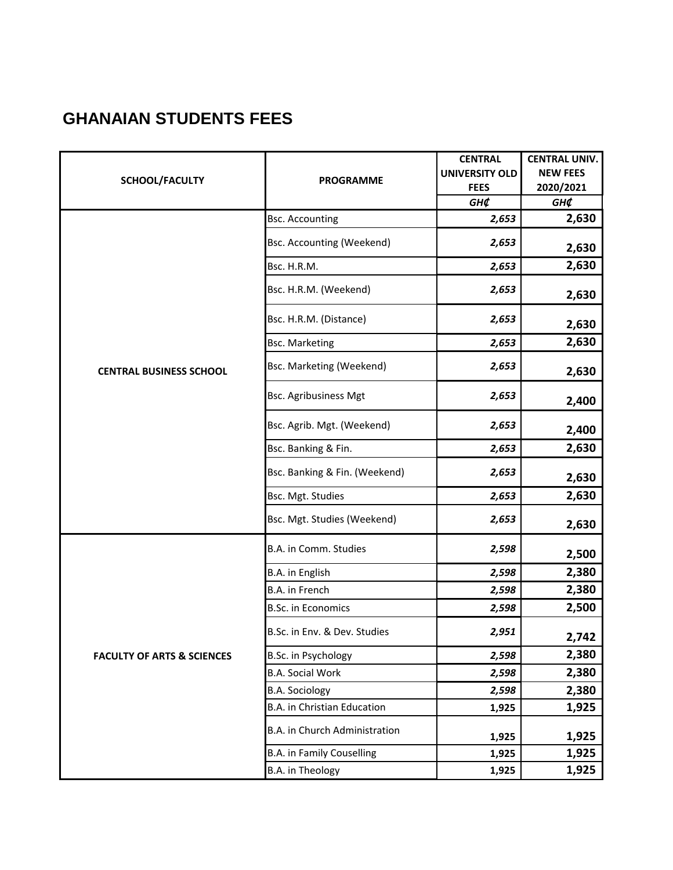## **GHANAIAN STUDENTS FEES**

| SCHOOL/FACULTY                        |                                    | <b>CENTRAL</b>        | <b>CENTRAL UNIV.</b> |
|---------------------------------------|------------------------------------|-----------------------|----------------------|
|                                       | <b>PROGRAMME</b>                   | <b>UNIVERSITY OLD</b> | <b>NEW FEES</b>      |
|                                       |                                    | <b>FEES</b>           | 2020/2021            |
|                                       |                                    | GH¢                   | GH¢                  |
|                                       | <b>Bsc. Accounting</b>             | 2,653                 | 2,630                |
|                                       | <b>Bsc. Accounting (Weekend)</b>   | 2,653                 | 2,630                |
|                                       | Bsc. H.R.M.                        | 2,653                 | 2,630                |
|                                       | Bsc. H.R.M. (Weekend)              | 2,653                 | 2,630                |
|                                       | Bsc. H.R.M. (Distance)             | 2,653                 | 2,630                |
|                                       | <b>Bsc. Marketing</b>              | 2,653                 | 2,630                |
| <b>CENTRAL BUSINESS SCHOOL</b>        | Bsc. Marketing (Weekend)           | 2,653                 | 2,630                |
|                                       | <b>Bsc. Agribusiness Mgt</b>       | 2,653                 | 2,400                |
|                                       | Bsc. Agrib. Mgt. (Weekend)         | 2,653                 | 2,400                |
|                                       | Bsc. Banking & Fin.                | 2,653                 | 2,630                |
|                                       | Bsc. Banking & Fin. (Weekend)      | 2,653                 | 2,630                |
|                                       | Bsc. Mgt. Studies                  | 2,653                 | 2,630                |
|                                       | Bsc. Mgt. Studies (Weekend)        | 2,653                 | 2,630                |
|                                       | B.A. in Comm. Studies              | 2,598                 | 2,500                |
|                                       | B.A. in English                    | 2,598                 | 2,380                |
| <b>FACULTY OF ARTS &amp; SCIENCES</b> | B.A. in French                     | 2,598                 | 2,380                |
|                                       | B.Sc. in Economics                 | 2,598                 | 2,500                |
|                                       | B.Sc. in Env. & Dev. Studies       | 2,951                 | 2,742                |
|                                       | B.Sc. in Psychology                | 2,598                 | 2,380                |
|                                       | <b>B.A. Social Work</b>            | 2,598                 | 2,380                |
|                                       | <b>B.A. Sociology</b>              | 2,598                 | 2,380                |
|                                       | <b>B.A. in Christian Education</b> | 1,925                 | 1,925                |
|                                       | B.A. in Church Administration      | 1,925                 | 1,925                |
|                                       | <b>B.A. in Family Couselling</b>   | 1,925                 | 1,925                |
|                                       | B.A. in Theology                   | 1,925                 | 1,925                |